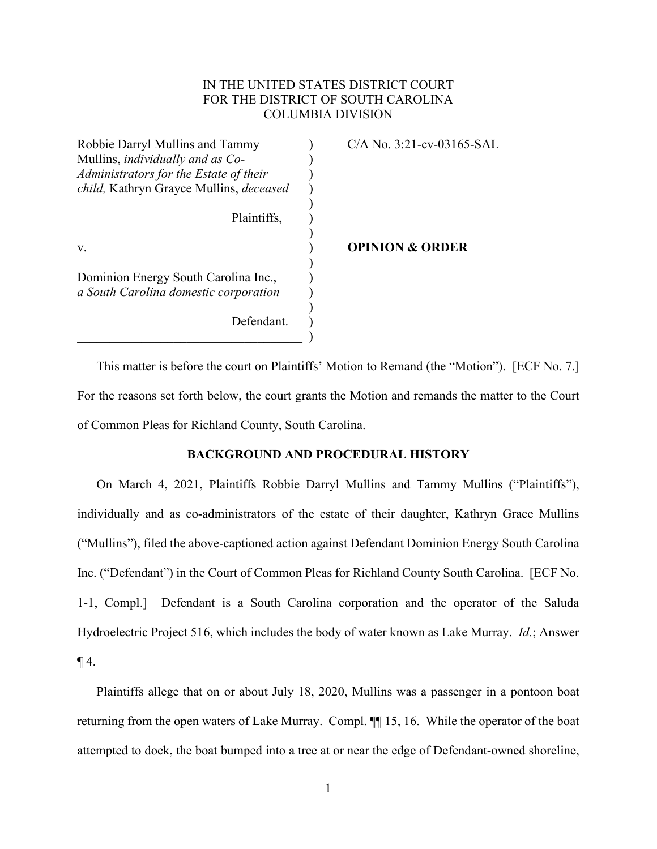# IN THE UNITED STATES DISTRICT COURT FOR THE DISTRICT OF SOUTH CAROLINA COLUMBIA DIVISION

| Robbie Darryl Mullins and Tammy                                               | $C/A$ No. 3:21-cv-03165-SAL |
|-------------------------------------------------------------------------------|-----------------------------|
| Mullins, <i>individually and as Co-</i>                                       |                             |
| Administrators for the Estate of their                                        |                             |
| child, Kathryn Grayce Mullins, deceased                                       |                             |
|                                                                               |                             |
| Plaintiffs,                                                                   |                             |
|                                                                               |                             |
| V.                                                                            | <b>OPINION &amp; ORDER</b>  |
| Dominion Energy South Carolina Inc.,<br>a South Carolina domestic corporation |                             |
| Defendant.                                                                    |                             |

This matter is before the court on Plaintiffs' Motion to Remand (the "Motion"). [ECF No. 7.] For the reasons set forth below, the court grants the Motion and remands the matter to the Court of Common Pleas for Richland County, South Carolina.

# **BACKGROUND AND PROCEDURAL HISTORY**

On March 4, 2021, Plaintiffs Robbie Darryl Mullins and Tammy Mullins ("Plaintiffs"), individually and as co-administrators of the estate of their daughter, Kathryn Grace Mullins ("Mullins"), filed the above-captioned action against Defendant Dominion Energy South Carolina Inc. ("Defendant") in the Court of Common Pleas for Richland County South Carolina. [ECF No. 1-1, Compl.] Defendant is a South Carolina corporation and the operator of the Saluda Hydroelectric Project 516, which includes the body of water known as Lake Murray. *Id.*; Answer  $\P$ 4.

Plaintiffs allege that on or about July 18, 2020, Mullins was a passenger in a pontoon boat returning from the open waters of Lake Murray. Compl. ¶¶ 15, 16. While the operator of the boat attempted to dock, the boat bumped into a tree at or near the edge of Defendant-owned shoreline,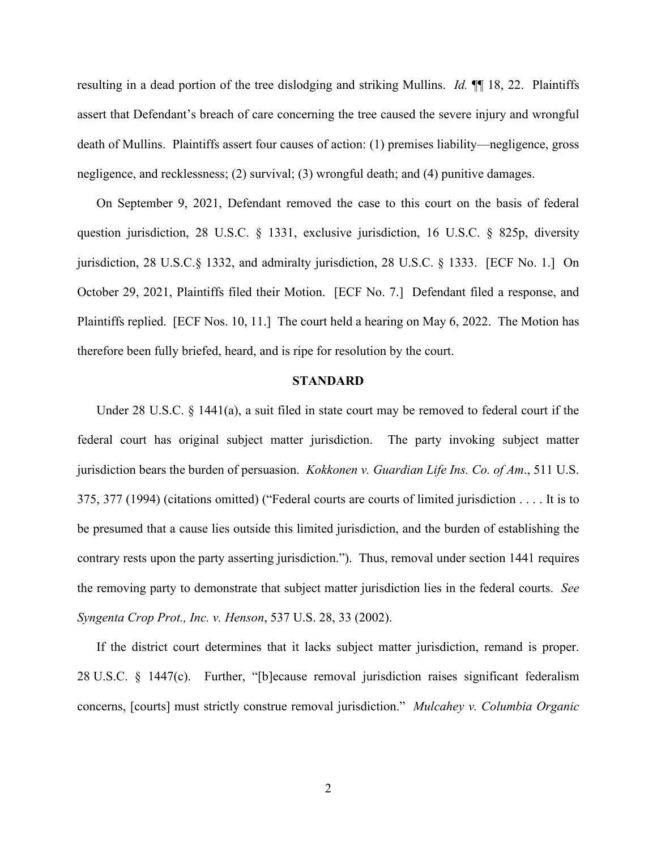resulting in a dead portion of the tree dislodging and striking Mullins. *Id.*  $\mathbb{I}$  18, 22. Plaintiffs assert that Defendant's breach of care concerning the tree caused the severe injury and wrongful death of Mullins. Plaintiffs assert four causes of action: (1) premises liability—negligence, gross negligence, and recklessness; (2) survival; (3) wrongful death; and (4) punitive damages.

On September 9, 2021, Defendant removed the case to this court on the basis of federal question jurisdiction, 28 U.S.C. § 1331, exclusive jurisdiction, 16 U.S.C. § 825p, diversity jurisdiction, 28 U.S.C.§ 1332, and admiralty jurisdiction, 28 U.S.C. § 1333. [ECF No. 1.] On October 29, 2021, Plaintiffs filed their Motion. [ECF No. 7.] Defendant filed a response, and Plaintiffs replied. [ECF Nos. 10, 11.] The court held a hearing on May 6, 2022. The Motion has therefore been fully briefed, heard, and is ripe for resolution by the court.

# **STANDARD**

Under 28 U.S.C. § 1441(a), a suit filed in state court may be removed to federal court if the federal court has original subject matter jurisdiction. The party invoking subject matter jurisdiction bears the burden of persuasion. *Kokkonen v. Guardian Life Ins. Co. of Am*., 511 U.S. 375, 377 (1994) (citations omitted) ("Federal courts are courts of limited jurisdiction . . . . It is to be presumed that a cause lies outside this limited jurisdiction, and the burden of establishing the contrary rests upon the party asserting jurisdiction."). Thus, removal under section 1441 requires the removing party to demonstrate that subject matter jurisdiction lies in the federal courts. *See Syngenta Crop Prot., Inc. v. Henson*, 537 U.S. 28, 33 (2002).

If the district court determines that it lacks subject matter jurisdiction, remand is proper. 28 U.S.C. § 1447(c). Further, "[b]ecause removal jurisdiction raises significant federalism concerns, [courts] must strictly construe removal jurisdiction." *Mulcahey v. Columbia Organic*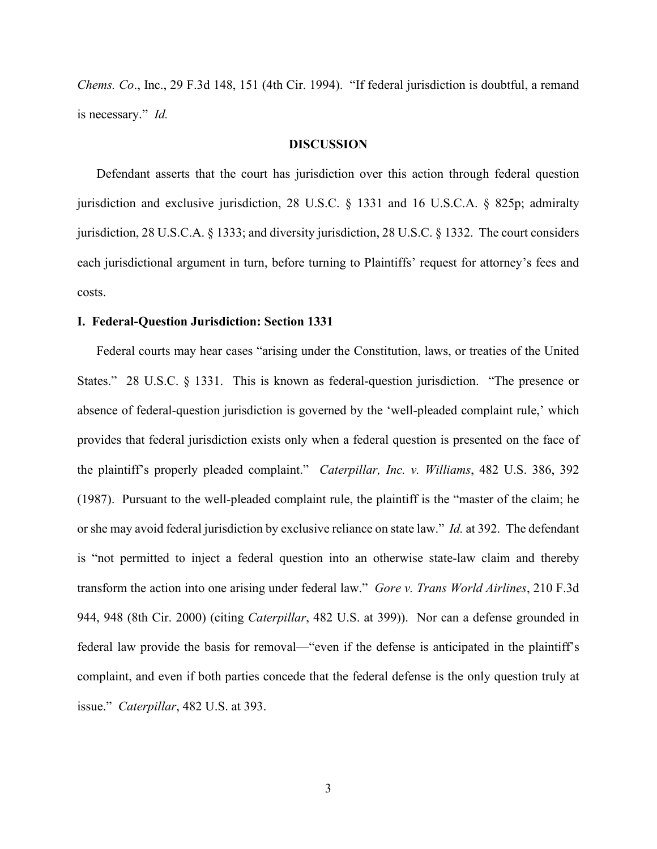*Chems. Co*., Inc., 29 F.3d 148, 151 (4th Cir. 1994). "If federal jurisdiction is doubtful, a remand is necessary." *Id.*

### **DISCUSSION**

Defendant asserts that the court has jurisdiction over this action through federal question jurisdiction and exclusive jurisdiction, 28 U.S.C. § 1331 and 16 U.S.C.A. § 825p; admiralty jurisdiction, 28 U.S.C.A. § 1333; and diversity jurisdiction, 28 U.S.C. § 1332. The court considers each jurisdictional argument in turn, before turning to Plaintiffs' request for attorney's fees and costs.

### **I. Federal-Question Jurisdiction: Section 1331**

Federal courts may hear cases "arising under the Constitution, laws, or treaties of the United States." 28 U.S.C. § 1331. This is known as federal-question jurisdiction. "The presence or absence of federal-question jurisdiction is governed by the 'well-pleaded complaint rule,' which provides that federal jurisdiction exists only when a federal question is presented on the face of the plaintiff's properly pleaded complaint." *Caterpillar, Inc. v. Williams*, 482 U.S. 386, 392 (1987). Pursuant to the well-pleaded complaint rule, the plaintiff is the "master of the claim; he or she may avoid federal jurisdiction by exclusive reliance on state law." *Id.* at 392. The defendant is "not permitted to inject a federal question into an otherwise state-law claim and thereby transform the action into one arising under federal law." *Gore v. Trans World Airlines*, 210 F.3d 944, 948 (8th Cir. 2000) (citing *Caterpillar*, 482 U.S. at 399)). Nor can a defense grounded in federal law provide the basis for removal—"even if the defense is anticipated in the plaintiff's complaint, and even if both parties concede that the federal defense is the only question truly at issue." *Caterpillar*, 482 U.S. at 393.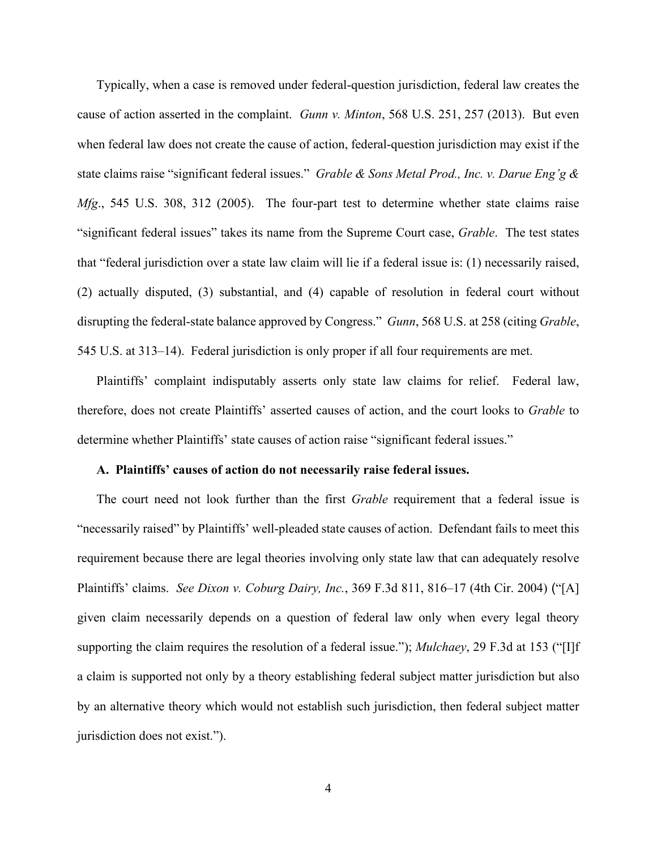Typically, when a case is removed under federal-question jurisdiction, federal law creates the cause of action asserted in the complaint. *Gunn v. Minton*, 568 U.S. 251, 257 (2013). But even when federal law does not create the cause of action, federal-question jurisdiction may exist if the state claims raise "significant federal issues." *Grable & Sons Metal Prod., Inc. v. Darue Eng'g & Mfg*., 545 U.S. 308, 312 (2005). The four-part test to determine whether state claims raise "significant federal issues" takes its name from the Supreme Court case, *Grable*. The test states that "federal jurisdiction over a state law claim will lie if a federal issue is: (1) necessarily raised, (2) actually disputed, (3) substantial, and (4) capable of resolution in federal court without disrupting the federal-state balance approved by Congress." *Gunn*, 568 U.S. at 258 (citing *Grable*, 545 U.S. at 313–14). Federal jurisdiction is only proper if all four requirements are met.

Plaintiffs' complaint indisputably asserts only state law claims for relief. Federal law, therefore, does not create Plaintiffs' asserted causes of action, and the court looks to *Grable* to determine whether Plaintiffs' state causes of action raise "significant federal issues."

#### **A. Plaintiffs' causes of action do not necessarily raise federal issues.**

The court need not look further than the first *Grable* requirement that a federal issue is "necessarily raised" by Plaintiffs' well-pleaded state causes of action. Defendant fails to meet this requirement because there are legal theories involving only state law that can adequately resolve Plaintiffs' claims. *See Dixon v. Coburg Dairy, Inc.*, 369 F.3d 811, 816–17 (4th Cir. 2004) ("[A] given claim necessarily depends on a question of federal law only when every legal theory supporting the claim requires the resolution of a federal issue."); *Mulchaey*, 29 F.3d at 153 ("[I]f a claim is supported not only by a theory establishing federal subject matter jurisdiction but also by an alternative theory which would not establish such jurisdiction, then federal subject matter jurisdiction does not exist.").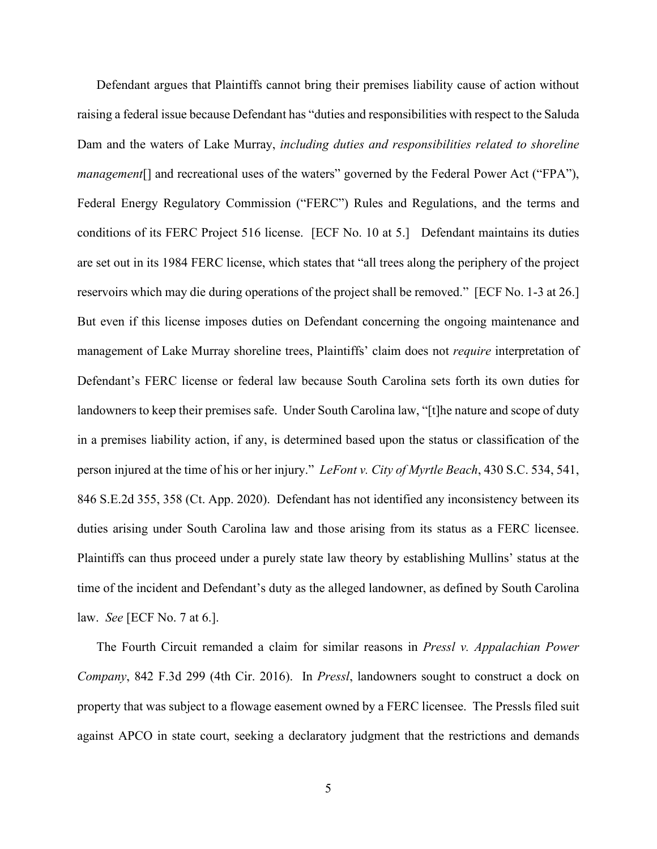Defendant argues that Plaintiffs cannot bring their premises liability cause of action without raising a federal issue because Defendant has "duties and responsibilities with respect to the Saluda Dam and the waters of Lake Murray, *including duties and responsibilities related to shoreline management*[] and recreational uses of the waters" governed by the Federal Power Act ("FPA"), Federal Energy Regulatory Commission ("FERC") Rules and Regulations, and the terms and conditions of its FERC Project 516 license. [ECF No. 10 at 5.] Defendant maintains its duties are set out in its 1984 FERC license, which states that "all trees along the periphery of the project reservoirs which may die during operations of the project shall be removed." [ECF No. 1-3 at 26.] But even if this license imposes duties on Defendant concerning the ongoing maintenance and management of Lake Murray shoreline trees, Plaintiffs' claim does not *require* interpretation of Defendant's FERC license or federal law because South Carolina sets forth its own duties for landowners to keep their premises safe. Under South Carolina law, "[t]he nature and scope of duty in a premises liability action, if any, is determined based upon the status or classification of the person injured at the time of his or her injury." *LeFont v. City of Myrtle Beach*, 430 S.C. 534, 541, 846 S.E.2d 355, 358 (Ct. App. 2020). Defendant has not identified any inconsistency between its duties arising under South Carolina law and those arising from its status as a FERC licensee. Plaintiffs can thus proceed under a purely state law theory by establishing Mullins' status at the time of the incident and Defendant's duty as the alleged landowner, as defined by South Carolina law. *See* [ECF No. 7 at 6.].

The Fourth Circuit remanded a claim for similar reasons in *Pressl v. Appalachian Power Company*, 842 F.3d 299 (4th Cir. 2016). In *Pressl*, landowners sought to construct a dock on property that was subject to a flowage easement owned by a FERC licensee. The Pressls filed suit against APCO in state court, seeking a declaratory judgment that the restrictions and demands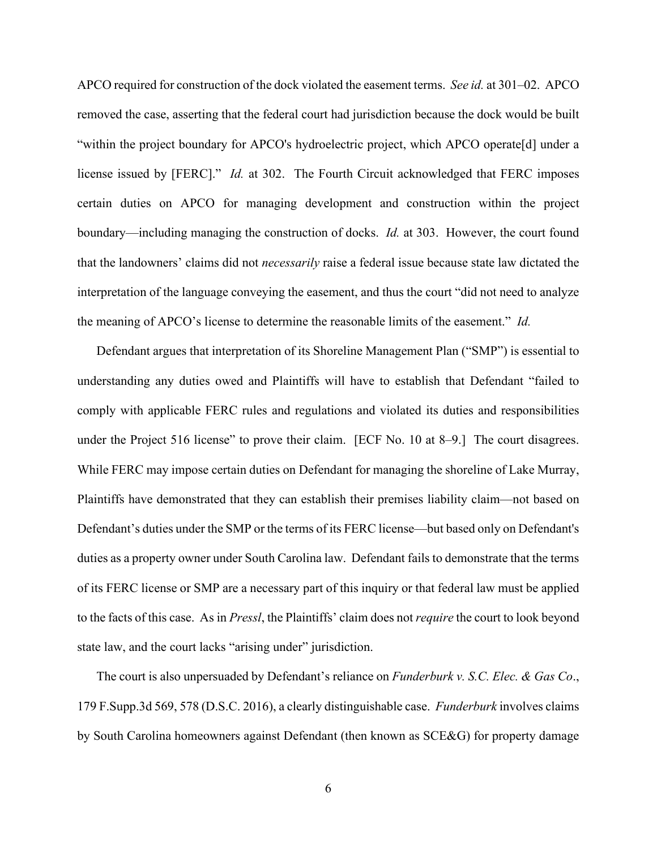APCO required for construction of the dock violated the easement terms. *See id.* at 301–02. APCO removed the case, asserting that the federal court had jurisdiction because the dock would be built "within the project boundary for APCO's hydroelectric project, which APCO operate[d] under a license issued by [FERC]." *Id.* at 302. The Fourth Circuit acknowledged that FERC imposes certain duties on APCO for managing development and construction within the project boundary—including managing the construction of docks. *Id.* at 303. However, the court found that the landowners' claims did not *necessarily* raise a federal issue because state law dictated the interpretation of the language conveying the easement, and thus the court "did not need to analyze the meaning of APCO's license to determine the reasonable limits of the easement." *Id.*

Defendant argues that interpretation of its Shoreline Management Plan ("SMP") is essential to understanding any duties owed and Plaintiffs will have to establish that Defendant "failed to comply with applicable FERC rules and regulations and violated its duties and responsibilities under the Project 516 license" to prove their claim. [ECF No. 10 at 8–9.] The court disagrees. While FERC may impose certain duties on Defendant for managing the shoreline of Lake Murray, Plaintiffs have demonstrated that they can establish their premises liability claim—not based on Defendant's duties under the SMP or the terms of its FERC license—but based only on Defendant's duties as a property owner under South Carolina law. Defendant fails to demonstrate that the terms of its FERC license or SMP are a necessary part of this inquiry or that federal law must be applied to the facts of this case. As in *Pressl*, the Plaintiffs' claim does not *require* the court to look beyond state law, and the court lacks "arising under" jurisdiction.

The court is also unpersuaded by Defendant's reliance on *Funderburk v. S.C. Elec. & Gas Co*., 179 F.Supp.3d 569, 578 (D.S.C. 2016), a clearly distinguishable case. *Funderburk* involves claims by South Carolina homeowners against Defendant (then known as SCE&G) for property damage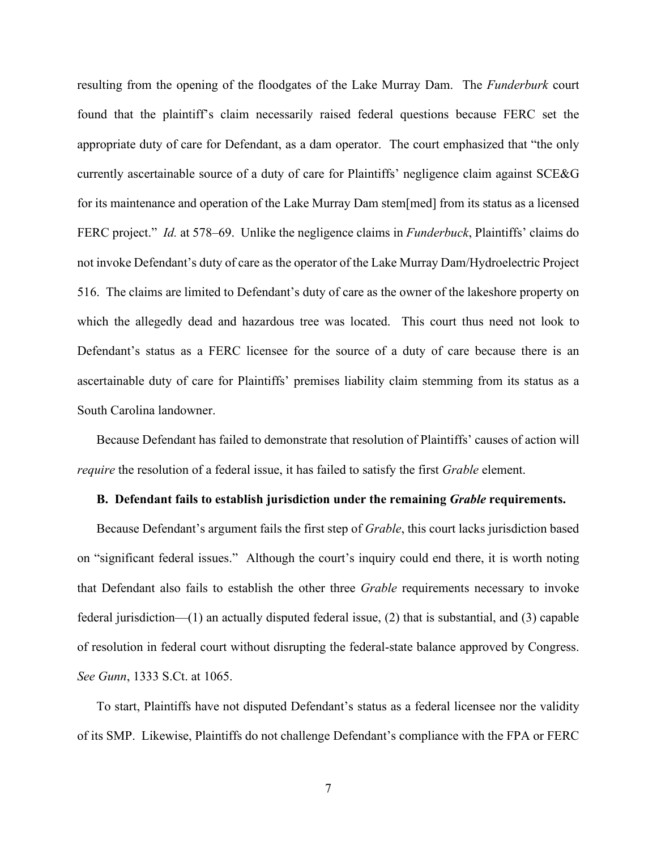resulting from the opening of the floodgates of the Lake Murray Dam. The *Funderburk* court found that the plaintiff's claim necessarily raised federal questions because FERC set the appropriate duty of care for Defendant, as a dam operator. The court emphasized that "the only currently ascertainable source of a duty of care for Plaintiffs' negligence claim against SCE&G for its maintenance and operation of the Lake Murray Dam stem[med] from its status as a licensed FERC project." *Id.* at 578–69. Unlike the negligence claims in *Funderbuck*, Plaintiffs' claims do not invoke Defendant's duty of care as the operator of the Lake Murray Dam/Hydroelectric Project 516. The claims are limited to Defendant's duty of care as the owner of the lakeshore property on which the allegedly dead and hazardous tree was located. This court thus need not look to Defendant's status as a FERC licensee for the source of a duty of care because there is an ascertainable duty of care for Plaintiffs' premises liability claim stemming from its status as a South Carolina landowner.

Because Defendant has failed to demonstrate that resolution of Plaintiffs' causes of action will *require* the resolution of a federal issue, it has failed to satisfy the first *Grable* element.

## **B. Defendant fails to establish jurisdiction under the remaining** *Grable* **requirements.**

Because Defendant's argument fails the first step of *Grable*, this court lacks jurisdiction based on "significant federal issues." Although the court's inquiry could end there, it is worth noting that Defendant also fails to establish the other three *Grable* requirements necessary to invoke federal jurisdiction—(1) an actually disputed federal issue, (2) that is substantial, and (3) capable of resolution in federal court without disrupting the federal-state balance approved by Congress. *See Gunn*, 1333 S.Ct. at 1065.

To start, Plaintiffs have not disputed Defendant's status as a federal licensee nor the validity of its SMP. Likewise, Plaintiffs do not challenge Defendant's compliance with the FPA or FERC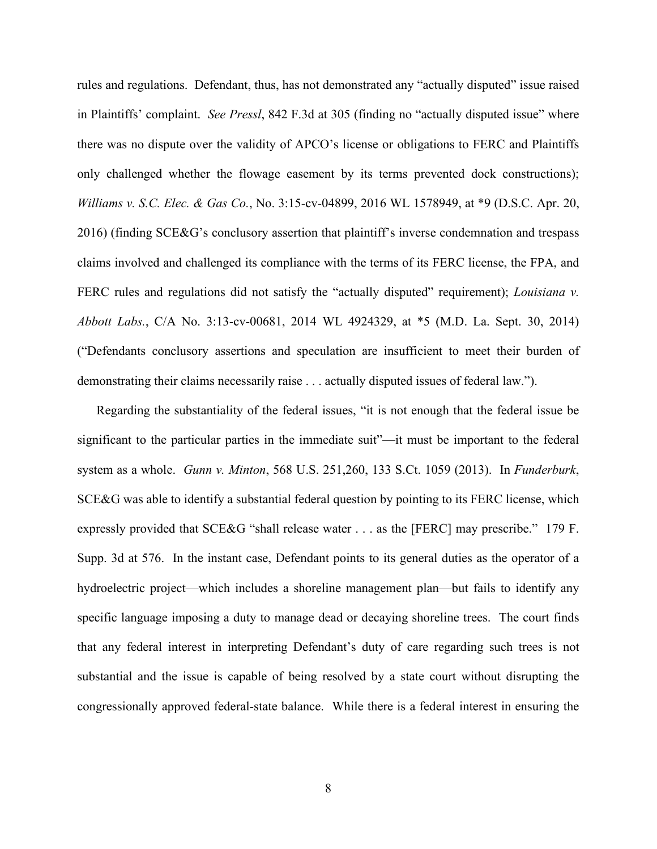rules and regulations. Defendant, thus, has not demonstrated any "actually disputed" issue raised in Plaintiffs' complaint. *See Pressl*, 842 F.3d at 305 (finding no "actually disputed issue" where there was no dispute over the validity of APCO's license or obligations to FERC and Plaintiffs only challenged whether the flowage easement by its terms prevented dock constructions); *Williams v. S.C. Elec. & Gas Co.*, No. 3:15-cv-04899, 2016 WL 1578949, at \*9 (D.S.C. Apr. 20, 2016) (finding SCE&G's conclusory assertion that plaintiff's inverse condemnation and trespass claims involved and challenged its compliance with the terms of its FERC license, the FPA, and FERC rules and regulations did not satisfy the "actually disputed" requirement); *Louisiana v. Abbott Labs.*, C/A No. 3:13-cv-00681, 2014 WL 4924329, at \*5 (M.D. La. Sept. 30, 2014) ("Defendants conclusory assertions and speculation are insufficient to meet their burden of demonstrating their claims necessarily raise . . . actually disputed issues of federal law.").

Regarding the substantiality of the federal issues, "it is not enough that the federal issue be significant to the particular parties in the immediate suit"—it must be important to the federal system as a whole. *Gunn v. Minton*, 568 U.S. 251,260, 133 S.Ct. 1059 (2013). In *Funderburk*, SCE&G was able to identify a substantial federal question by pointing to its FERC license, which expressly provided that SCE&G "shall release water . . . as the [FERC] may prescribe." 179 F. Supp. 3d at 576. In the instant case, Defendant points to its general duties as the operator of a hydroelectric project—which includes a shoreline management plan—but fails to identify any specific language imposing a duty to manage dead or decaying shoreline trees. The court finds that any federal interest in interpreting Defendant's duty of care regarding such trees is not substantial and the issue is capable of being resolved by a state court without disrupting the congressionally approved federal-state balance. While there is a federal interest in ensuring the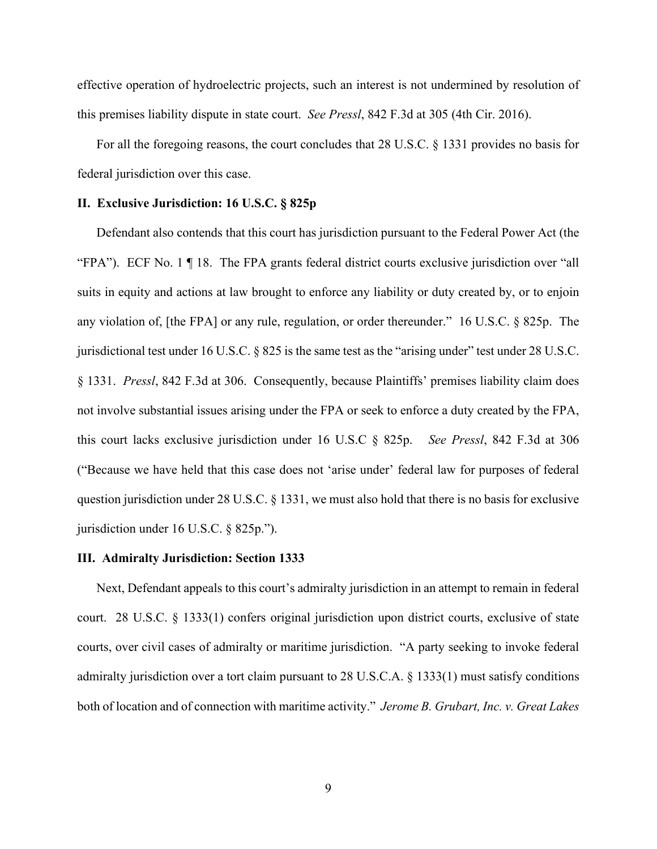effective operation of hydroelectric projects, such an interest is not undermined by resolution of this premises liability dispute in state court. *See Pressl*, 842 F.3d at 305 (4th Cir. 2016).

For all the foregoing reasons, the court concludes that 28 U.S.C. § 1331 provides no basis for federal jurisdiction over this case.

#### **II. Exclusive Jurisdiction: 16 U.S.C. § 825p**

Defendant also contends that this court has jurisdiction pursuant to the Federal Power Act (the "FPA"). ECF No. 1 ¶ 18. The FPA grants federal district courts exclusive jurisdiction over "all suits in equity and actions at law brought to enforce any liability or duty created by, or to enjoin any violation of, [the FPA] or any rule, regulation, or order thereunder." 16 U.S.C. § 825p. The jurisdictional test under 16 U.S.C. § 825 is the same test as the "arising under" test under 28 U.S.C. § 1331. *Pressl*, 842 F.3d at 306. Consequently, because Plaintiffs' premises liability claim does not involve substantial issues arising under the FPA or seek to enforce a duty created by the FPA, this court lacks exclusive jurisdiction under 16 U.S.C § 825p. *See Pressl*, 842 F.3d at 306 ("Because we have held that this case does not 'arise under' federal law for purposes of federal question jurisdiction under 28 U.S.C. § 1331, we must also hold that there is no basis for exclusive jurisdiction under 16 U.S.C. § 825p.").

#### **III. Admiralty Jurisdiction: Section 1333**

Next, Defendant appeals to this court's admiralty jurisdiction in an attempt to remain in federal court. 28 U.S.C. § 1333(1) confers original jurisdiction upon district courts, exclusive of state courts, over civil cases of admiralty or maritime jurisdiction. "A party seeking to invoke federal admiralty jurisdiction over a tort claim pursuant to 28 U.S.C.A. § 1333(1) must satisfy conditions both of location and of connection with maritime activity." *Jerome B. Grubart, Inc. v. Great Lakes*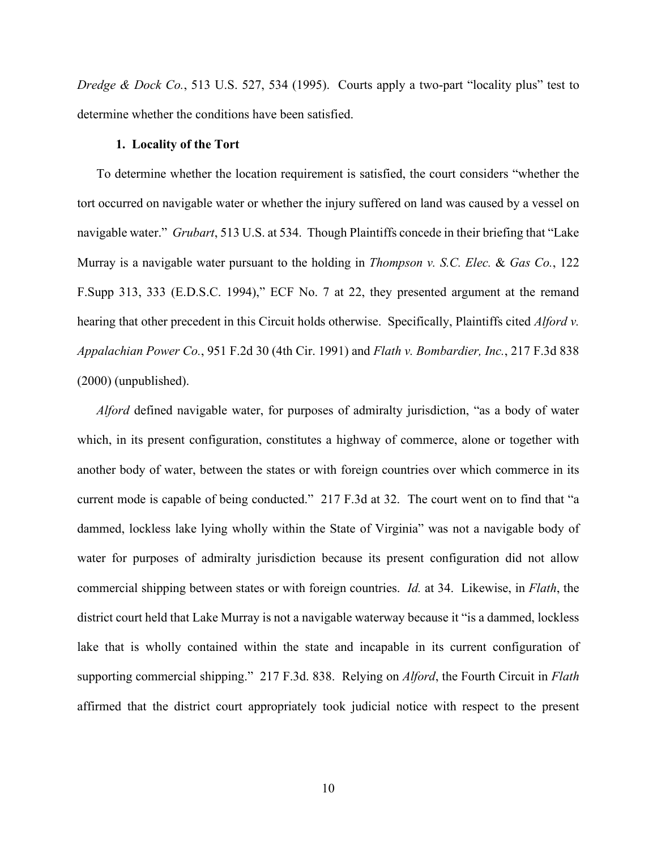*Dredge & Dock Co.*, 513 U.S. 527, 534 (1995). Courts apply a two-part "locality plus" test to determine whether the conditions have been satisfied.

## **1. Locality of the Tort**

To determine whether the location requirement is satisfied, the court considers "whether the tort occurred on navigable water or whether the injury suffered on land was caused by a vessel on navigable water." *Grubart*, 513 U.S. at 534. Though Plaintiffs concede in their briefing that "Lake Murray is a navigable water pursuant to the holding in *Thompson v. S.C. Elec.* & *Gas Co.*, 122 F.Supp 313, 333 (E.D.S.C. 1994)," ECF No. 7 at 22, they presented argument at the remand hearing that other precedent in this Circuit holds otherwise. Specifically, Plaintiffs cited *Alford v. Appalachian Power Co.*, 951 F.2d 30 (4th Cir. 1991) and *Flath v. Bombardier, Inc.*, 217 F.3d 838 (2000) (unpublished).

*Alford* defined navigable water, for purposes of admiralty jurisdiction, "as a body of water which, in its present configuration, constitutes a highway of commerce, alone or together with another body of water, between the states or with foreign countries over which commerce in its current mode is capable of being conducted." 217 F.3d at 32. The court went on to find that "a dammed, lockless lake lying wholly within the State of Virginia" was not a navigable body of water for purposes of admiralty jurisdiction because its present configuration did not allow commercial shipping between states or with foreign countries. *Id.* at 34. Likewise, in *Flath*, the district court held that Lake Murray is not a navigable waterway because it "is a dammed, lockless lake that is wholly contained within the state and incapable in its current configuration of supporting commercial shipping." 217 F.3d. 838. Relying on *Alford*, the Fourth Circuit in *Flath* affirmed that the district court appropriately took judicial notice with respect to the present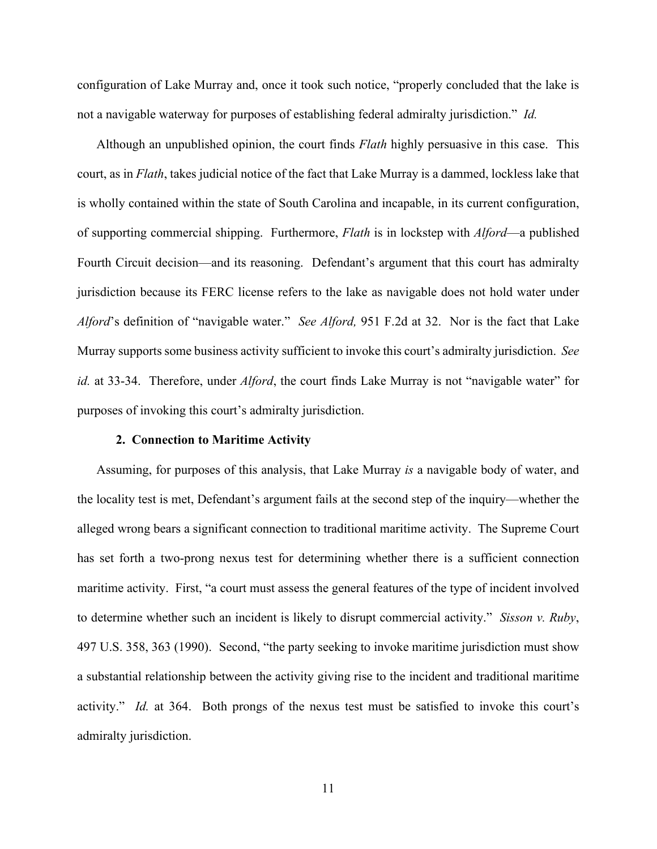configuration of Lake Murray and, once it took such notice, "properly concluded that the lake is not a navigable waterway for purposes of establishing federal admiralty jurisdiction." *Id.*

Although an unpublished opinion, the court finds *Flath* highly persuasive in this case. This court, as in *Flath*, takes judicial notice of the fact that Lake Murray is a dammed, lockless lake that is wholly contained within the state of South Carolina and incapable, in its current configuration, of supporting commercial shipping. Furthermore, *Flath* is in lockstep with *Alford*—a published Fourth Circuit decision—and its reasoning. Defendant's argument that this court has admiralty jurisdiction because its FERC license refers to the lake as navigable does not hold water under *Alford*'s definition of "navigable water." *See Alford,* 951 F.2d at 32. Nor is the fact that Lake Murray supports some business activity sufficient to invoke this court's admiralty jurisdiction. *See id.* at 33-34. Therefore, under *Alford*, the court finds Lake Murray is not "navigable water" for purposes of invoking this court's admiralty jurisdiction.

# **2. Connection to Maritime Activity**

Assuming, for purposes of this analysis, that Lake Murray *is* a navigable body of water, and the locality test is met, Defendant's argument fails at the second step of the inquiry—whether the alleged wrong bears a significant connection to traditional maritime activity. The Supreme Court has set forth a two-prong nexus test for determining whether there is a sufficient connection maritime activity. First, "a court must assess the general features of the type of incident involved to determine whether such an incident is likely to disrupt commercial activity." *Sisson v. Ruby*, 497 U.S. 358, 363 (1990). Second, "the party seeking to invoke maritime jurisdiction must show a substantial relationship between the activity giving rise to the incident and traditional maritime activity." *Id.* at 364. Both prongs of the nexus test must be satisfied to invoke this court's admiralty jurisdiction.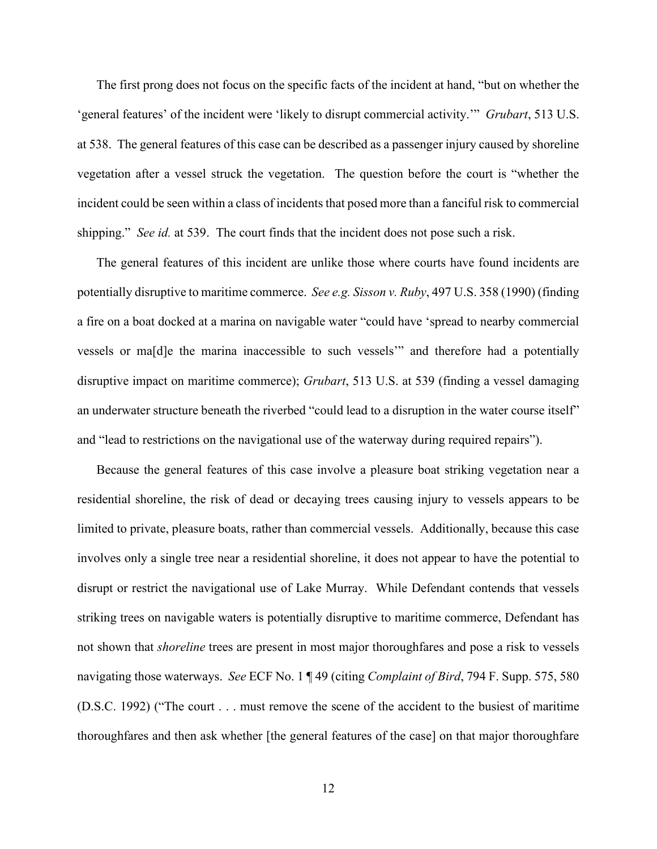The first prong does not focus on the specific facts of the incident at hand, "but on whether the 'general features' of the incident were 'likely to disrupt commercial activity.'" *Grubart*, 513 U.S. at 538. The general features of this case can be described as a passenger injury caused by shoreline vegetation after a vessel struck the vegetation. The question before the court is "whether the incident could be seen within a class of incidents that posed more than a fanciful risk to commercial shipping." *See id.* at 539. The court finds that the incident does not pose such a risk.

The general features of this incident are unlike those where courts have found incidents are potentially disruptive to maritime commerce. *See e.g. Sisson v. Ruby*, 497 U.S. 358 (1990) (finding a fire on a boat docked at a marina on navigable water "could have 'spread to nearby commercial vessels or ma[d]e the marina inaccessible to such vessels'" and therefore had a potentially disruptive impact on maritime commerce); *Grubart*, 513 U.S. at 539 (finding a vessel damaging an underwater structure beneath the riverbed "could lead to a disruption in the water course itself" and "lead to restrictions on the navigational use of the waterway during required repairs").

Because the general features of this case involve a pleasure boat striking vegetation near a residential shoreline, the risk of dead or decaying trees causing injury to vessels appears to be limited to private, pleasure boats, rather than commercial vessels. Additionally, because this case involves only a single tree near a residential shoreline, it does not appear to have the potential to disrupt or restrict the navigational use of Lake Murray. While Defendant contends that vessels striking trees on navigable waters is potentially disruptive to maritime commerce, Defendant has not shown that *shoreline* trees are present in most major thoroughfares and pose a risk to vessels navigating those waterways. *See* ECF No. 1 ¶ 49 (citing *Complaint of Bird*, 794 F. Supp. 575, 580 (D.S.C. 1992) ("The court . . . must remove the scene of the accident to the busiest of maritime thoroughfares and then ask whether [the general features of the case] on that major thoroughfare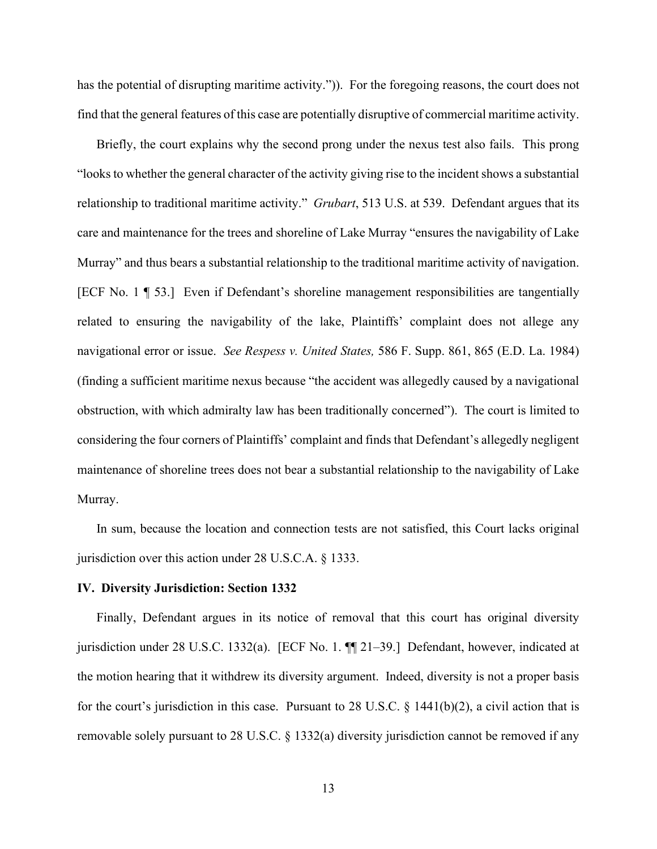has the potential of disrupting maritime activity."). For the foregoing reasons, the court does not find that the general features of this case are potentially disruptive of commercial maritime activity.

Briefly, the court explains why the second prong under the nexus test also fails. This prong "looksto whether the general character of the activity giving rise to the incident shows a substantial relationship to traditional maritime activity." *Grubart*, 513 U.S. at 539. Defendant argues that its care and maintenance for the trees and shoreline of Lake Murray "ensures the navigability of Lake Murray" and thus bears a substantial relationship to the traditional maritime activity of navigation. [ECF No. 1 ¶ 53.] Even if Defendant's shoreline management responsibilities are tangentially related to ensuring the navigability of the lake, Plaintiffs' complaint does not allege any navigational error or issue. *See Respess v. United States,* 586 F. Supp. 861, 865 (E.D. La. 1984) (finding a sufficient maritime nexus because "the accident was allegedly caused by a navigational obstruction, with which admiralty law has been traditionally concerned"). The court is limited to considering the four corners of Plaintiffs' complaint and finds that Defendant's allegedly negligent maintenance of shoreline trees does not bear a substantial relationship to the navigability of Lake Murray.

In sum, because the location and connection tests are not satisfied, this Court lacks original jurisdiction over this action under 28 U.S.C.A. § 1333.

#### **IV. Diversity Jurisdiction: Section 1332**

Finally, Defendant argues in its notice of removal that this court has original diversity jurisdiction under 28 U.S.C. 1332(a). [ECF No. 1. ¶¶ 21–39.] Defendant, however, indicated at the motion hearing that it withdrew its diversity argument. Indeed, diversity is not a proper basis for the court's jurisdiction in this case. Pursuant to 28 U.S.C.  $\S$  1441(b)(2), a civil action that is removable solely pursuant to 28 U.S.C. § 1332(a) diversity jurisdiction cannot be removed if any